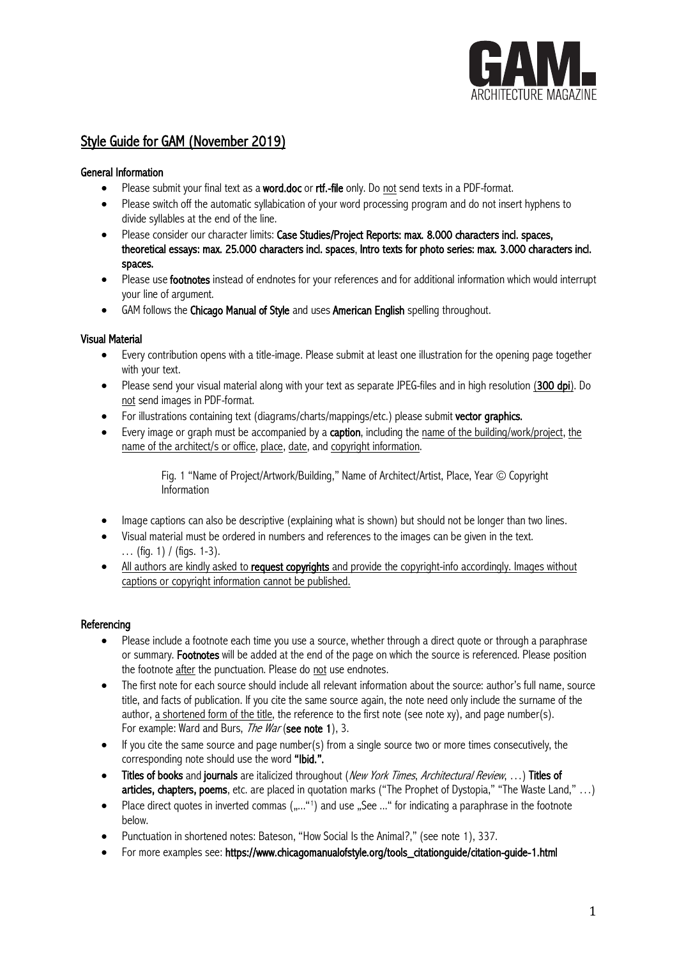

# Style Guide for GAM (November 2019)

# General Information

- Please submit your final text as a **word.doc** or **rtf.-file** only. Do not send texts in a PDF-format.
- Please switch off the automatic syllabication of your word processing program and do not insert hyphens to divide syllables at the end of the line.
- Please consider our character limits: Case Studies/Project Reports: max. 8.000 characters incl. spaces, theoretical essays: max. 25.000 characters incl. spaces, Intro texts for photo series: max. 3.000 characters incl. spaces.
- Please use footnotes instead of endnotes for your references and for additional information which would interrupt your line of argument.
- GAM follows the Chicago Manual of Style and uses American English spelling throughout.

# Visual Material

- Every contribution opens with a title-image. Please submit at least one illustration for the opening page together with your text.
- Please send your visual material along with your text as separate JPEG-files and in high resolution (300 dpi). Do not send images in PDF-format.
- For illustrations containing text (diagrams/charts/mappings/etc.) please submit vector graphics.
- Every image or graph must be accompanied by a **caption**, including the name of the building/work/project, the name of the architect/s or office, place, date, and copyright information.

Fig. 1 "Name of Project/Artwork/Building," Name of Architect/Artist, Place, Year © Copyright Information

- Image captions can also be descriptive (explaining what is shown) but should not be longer than two lines.
- Visual material must be ordered in numbers and references to the images can be given in the text. … (fig. 1) / (figs. 1-3).
- All authors are kindly asked to request copyrights and provide the copyright-info accordingly. Images without captions or copyright information cannot be published.

# **Referencing**

- Please include a footnote each time you use a source, whether through a direct quote or through a paraphrase or summary. Footnotes will be added at the end of the page on which the source is referenced. Please position the footnote after the punctuation. Please do not use endnotes.
- The first note for each source should include all relevant information about the source: author's full name, source title, and facts of publication. If you cite the same source again, the note need only include the surname of the author, a shortened form of the title, the reference to the first note (see note xy), and page number(s). For example: Ward and Burs, *The War* (see note 1), 3.
- If you cite the same source and page number(s) from a single source two or more times consecutively, the corresponding note should use the word "Ibid.".
- Titles of books and journals are italicized throughout (New York Times, Architectural Review, ...) Titles of articles, chapters, poems, etc. are placed in quotation marks ("The Prophet of Dystopia," "The Waste Land," …)
- Place direct quotes in inverted commas  $($ "..."1) and use "See ..." for indicating a paraphrase in the footnote below.
- Punctuation in shortened notes: Bateson, "How Social Is the Animal?," (see note 1), 337.
- For more examples see: https://www.chicagomanualofstyle.org/tools\_citationguide/citation-guide-1.html